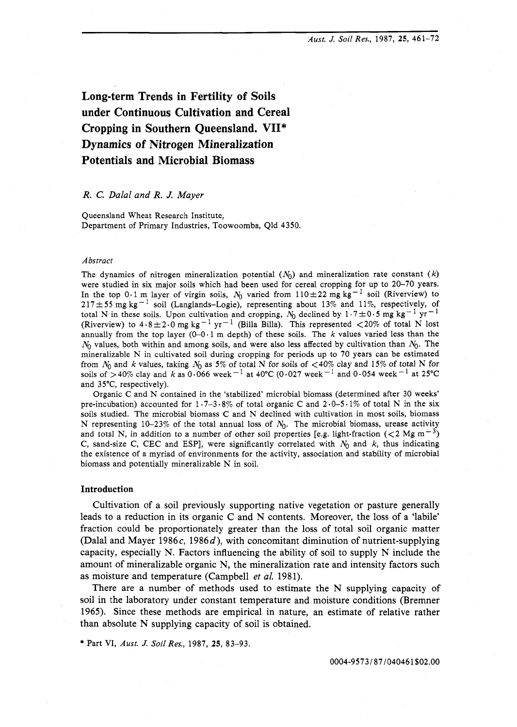*Aust. J.* **Soil** *Res.,* 1987, **25,** 461-72

**Long-term Trends in Fertility of Soils under Continuous Cultivation and Cereal Cropping in Southern Queensland. VII\* Dynamics of Nitrogen Mineralization Potentials and Microbial Biomass** 

# R. *C.* Dalal and R. *J.* Mayer

Queensland Wheat Research Institute, Department of Primary Industries, Toowoomba, Qld 4350.

### *Abstract*

The dynamics of nitrogen mineralization potential  $(N_0)$  and mineralization rate constant  $(k)$ were studied in six major soils which had been used for cereal cropping for up to 20-70 years. In the top 0.1 m layer of virgin soils,  $N_0$  varied from 110 $\pm$ 22 mg kg<sup>-1</sup> soil (Riverview) to 217 $\pm$ 55 mg kg<sup>-1</sup> soil (Langlands-Logie), representing about 13% and 11%, respectively, of total N in these soils. Upon cultivation and cropping,  $N_0$  declined by  $1 \cdot 7 \pm 0.5$  mg kg<sup>-1</sup> yr<sup>-1</sup> (Riverview) to  $4.8 \pm 2.0$  mg kg<sup>-1</sup> yr<sup>-1</sup> (Billa Billa). This represented <20% of total N lost annually from the top layer  $(0-0.1 \text{ m depth})$  of these soils. The k values varied less than the  $N_0$  values, both within and among soils, and were also less affected by cultivation than  $N_0$ . The mineralizable N in cultivated soil during cropping for periods up to 70 years can be estimated from  $N_0$  and *k* values, taking  $N_0$  as 5% of total N for soils of <40% clay and 15% of total N for soils of >40% clay and k as  $0.066$  week<sup>-1</sup> at 40°C (0.027 week<sup>-1</sup> and 0.054 week<sup>-1</sup> at 25°C and 35"C, respectively).

Organic C and N contained in the 'stabilized' microbial biomass (determined after 30 weeks' pre-incubation) accounted for  $1.7-3.8\%$  of total organic C and  $2.0-5.1\%$  of total N in the six soils studied. The microbial biomass C and N declined with cultivation in most soils, biomass N representing 10-23% of the total annual loss of  $N_0$ . The microbial biomass, urease activity and total N, in addition to a number of other soil properties [e.g. light-fraction ( $\lt 2$  Mg m<sup>-3</sup>) C, sand-size C, CEC and ESP], were significantly correlated with  $N_0$  and k, thus indicating the existence of a myriad of environments for the activity, association and stability of microbial biomass and potentially mineralizable N in soil.

#### **Introduction**

Cultivation of a soil previously supporting native vegetation or pasture generally leads to a reduction in its organic C and N contents. Moreover, the loss of a 'labile' fraction could be proportionately greater than the loss of total soil organic matter (Dalal and Mayer 1986 $c$ , 1986 $d$ ), with concomitant diminution of nutrient-supplying capacity, especially N. Factors influencing the ability of soil to supply N include the amount of mineralizable organic N, the mineralization rate and intensity factors such as moisture and temperature (Campbell et al. 1981).

There are a number of methods used to estimate the N supplying capacity of soil in the laboratory under constant temperature and moisture conditions (Bremner 1965). Since these methods are empirical in nature, an estimate of relative rather than absolute N supplying capacity of soil is obtained.

\* Part VI, *Aust. J.* **Soil** *Res.,* 1987, **25,** 83-93.

0004-9573/87/040461\$02.00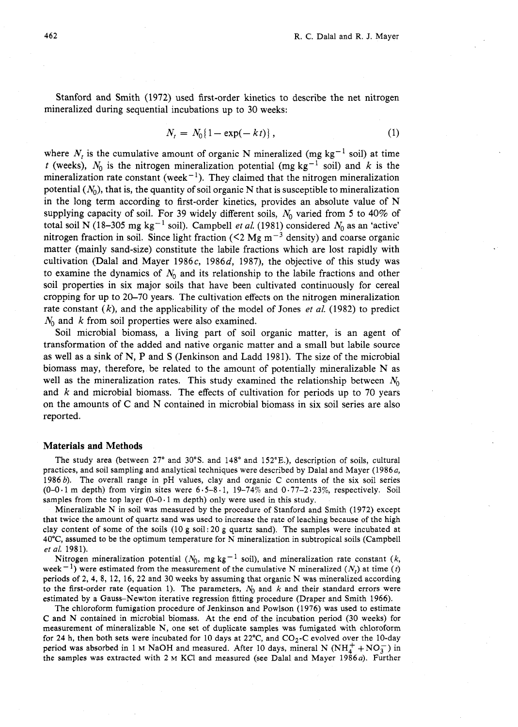Stanford and Smith (1972) used first-order kinetics to describe the net nitrogen mineralized during sequential incubations up to 30 weeks:

$$
N_t = N_0\{1 - \exp(-kt)\},
$$
 (1)

where  $N_t$  is the cumulative amount of organic N mineralized (mg kg<sup>-1</sup> soil) at time *t* (weeks),  $N_0$  is the nitrogen mineralization potential (mg kg<sup>-1</sup> soil) and k is the mineralization rate constant (week<sup>-1</sup>). They claimed that the nitrogen mineralization potential  $(N_0)$ , that is, the quantity of soil organic N that is susceptible to mineralization in the long term according to first-order kinetics, provides an absolute value of N supplying capacity of soil. For 39 widely different soils,  $N_0$  varied from 5 to 40% of total soil N (18-305 mg kg<sup>-1</sup> soil). Campbell *et al.* (1981) considered  $N_0$  as an 'active' nitrogen fraction in soil. Since light fraction ( $\leq 2$  Mg m<sup>-3</sup> density) and coarse organic matter (mainly sand-size) constitute the labile fractions which are lost rapidly with cultivation (Dalal and Mayer 1986 $c$ , 1986 $d$ , 1987), the objective of this study was to examine the dynamics of  $N_0$  and its relationship to the labile fractions and other soil properties in six major soils that have been cultivated continuously for cereal cropping for up to 20-70 years. The cultivation effects on the nitrogen mineralization rate constant (k), and the applicability of the model of Jones et *al.* (1982) to predict  $N_0$  and k from soil properties were also examined.

Soil microbial biomass, a living part of soil organic matter, is an agent of transformation of the added and native organic matter and a small but labile source as well as a sink of N, P and S (Jenkinson and Ladd 1981). The size of the microbial biomass may, therefore, be related to the amount of potentially mineralizable N as well as the mineralization rates. This study examined the relationship between  $N_0$ and  $k$  and microbial biomass. The effects of cultivation for periods up to 70 years on the amounts of C and N contained in microbial biomass in six soil series are also reported.

#### **Materials and Methods**

The study area (between 27° and 30°S. and 148° and 152°E.), description of soils, cultural practices, and soil sampling and analytical techniques were described by Dalal and Mayer (1986a, 1986 b). The overall range in pH values, clay and organic C contents of the six soil series  $(0-0.1 \text{ m depth})$  from virgin sites were  $6.5-8.1$ ,  $19-74\%$  and  $0.77-2.23\%$ , respectively. Soil samples from the top layer  $(0-0.1 \text{ m depth})$  only were used in this study.

Mineralizable N in soil was measured by the procedure of Stanford and Smith (1972) except that twice the amount of quartz sand was used to increase the rate of leaching because of the high clay content of some of the soils (10 g soil: 20 g quartz sand). The samples were incubated at 40°C, assumed to be the optimum temperature for N mineralization in subtropical soils (Campbell *et* al. 1981).

Nitrogen mineralization potential ( $N_0$ , mg kg<sup>-1</sup> soil), and mineralization rate constant (k, week<sup>-1</sup>) were estimated from the measurement of the cumulative N mineralized ( $N_t$ ) at time (t) periods of 2, 4, 8, 12, 16, 22 and 30 weeks by assuming that organic N was mineralized according to the first-order rate (equation 1). The parameters,  $N_0$  and k and their standard errors were estimated by a Gauss-Newton iterative regression fitting procedure (Draper and Smith 1966).

The chloroform fumigation procedure of Jenkinson and Powlson (1976) was used to estimate C and N contained in microbial biomass. At the end of the incubation period (30 weeks) for measurement of mineralizable N, one set of duplicate samples was fumigated with chloroform for 24 h, then both sets were incubated for 10 days at 22 $^{\circ}$ C, and CO<sub>2</sub>-C evolved over the 10-day period was absorbed in 1 M NaOH and measured. After 10 days, mineral N ( $NH_4^+ + NO_3^-$ ) in the samples was extracted with 2 M KCl and measured (see Dalal and Mayer 1986 $a$ ). Further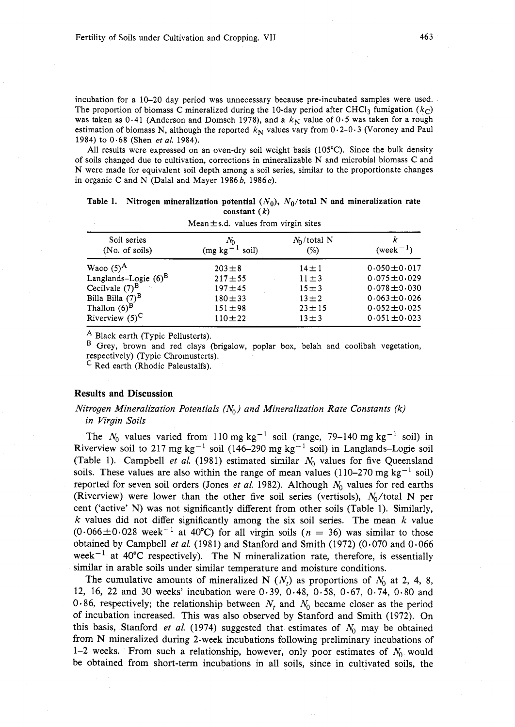incubation for a 10-20 day period was unnecessary because pre-incubated samples were used. The proportion of biomass C mineralized during the 10-day period after CHCl<sub>3</sub> fumigation ( $k<sub>C</sub>$ ) was taken as 0.41 (Anderson and Domsch 1978), and a  $k<sub>N</sub>$  value of 0.5 was taken for a rough estimation of biomass N, although the reported  $k<sub>N</sub>$  values vary from 0.2-0.3 (Voroney and Paul 1984) to 0.68 (Shen et *al.* 1984).

All results were expressed on an oven-dry soil weight basis (105°C). Since the bulk density of soils changed due to cultivation, corrections in mineralizable N and microbial biomass C and N were made for equivalent soil depth among a soil series, similar to the proportionate changes in organic C and N (Dalal and Mayer 1986 $b$ , 1986 $e$ ).

Table 1. Nitrogen mineralization potential  $(N_0)$ ,  $N_0$ /total N and mineralization rate constant  $(k)$ Mean ts.d. values from virgin sites

| Soil series<br>(No. of soils) | $mca = s.u.$ values from virgin sites<br>$N_0$<br>soil)<br>(mg kg) | $N_0$ /total N<br>(%) | $(week-1)$        |
|-------------------------------|--------------------------------------------------------------------|-----------------------|-------------------|
| Waco $(5)^A$                  | $203 \pm 8$                                                        | $14 \pm 1$            | $0.050 \pm 0.017$ |
| Langlands-Logie $(6)^B$       | $217 + 55$                                                         | $11 \pm 3$            | $0.075 \pm 0.029$ |
| Cecilvale $(7)^B$             | $197 + 45$                                                         | $15 + 3$              | $0.078 \pm 0.030$ |
| Billa Billa $(7)^B$           | $180 + 33$                                                         | $13 \pm 2$            | $0.063 \pm 0.026$ |
| Thallon $(6)^B$               | $151 \pm 98$                                                       | $23 \pm 15$           | $0.052 \pm 0.025$ |
| Riverview $(5)^C$             | $110 + 22$                                                         | $13 \pm 3$            | $0.051 \pm 0.023$ |

A Black earth (Typic Pellusterts).

B Grey, brown and red clays (brigalow, poplar box, belah and coolibah vegetation, respectively) (Typic Chromusterts).

C Red earth (Rhodic Paleustalfs).

# **Results and Discussion**

# Nitrogen Mineralization Potentials  $(N_0)$  and Mineralization Rate Constants (k) in Virgin Soils

The  $N_0$  values varied from 110 mg kg<sup>-1</sup> soil (range, 79-140 mg kg<sup>-1</sup> soil) in Riverview soil to 217 mg kg<sup>-1</sup> soil (146-290 mg kg<sup>-1</sup> soil) in Langlands-Logie soil (Table 1). Campbell et al. (1981) estimated similar  $N_0$  values for five Queensland soils. These values are also within the range of mean values (110–270 mg kg<sup>-1</sup> soil) reported for seven soil orders (Jones et al. 1982). Although  $N_0$  values for red earths (Riverview) were lower than the other five soil series (vertisols),  $N_0$ /total N per cent ('active' N) was not significantly different from other soils (Table 1). Similarly, k values did not differ significantly among the six soil series. The mean  $k$  value  $(0.066\pm0.028$  week<sup>-1</sup> at 40°C) for all virgin soils (n = 36) was similar to those obtained by Campbell et al. (1981) and Stanford and Smith (1972) (0.070 and 0.066 week<sup>-1</sup> at 40°C respectively). The N mineralization rate, therefore, is essentially similar in arable soils under similar temperature and moisture conditions.

The cumulative amounts of mineralized N  $(N_t)$  as proportions of  $N_0$  at 2, 4, 8, 12, 16, 22 and 30 weeks' incubation were 0.39, 0.48, 0.58, 0.67, 0.74, 0.80 and 0.86, respectively; the relationship between  $N_t$  and  $N_0$  became closer as the period of incubation increased. This was also observed by Stanford and Smith (1972). On this basis, Stanford et al. (1974) suggested that estimates of  $N_0$  may be obtained from N mineralized during 2-week incubations following preliminary incubations of 1-2 weeks. From such a relationship, however, only poor estimates of  $N_0$  would be obtained from short-term incubations in all soils, since in cultivated soils, the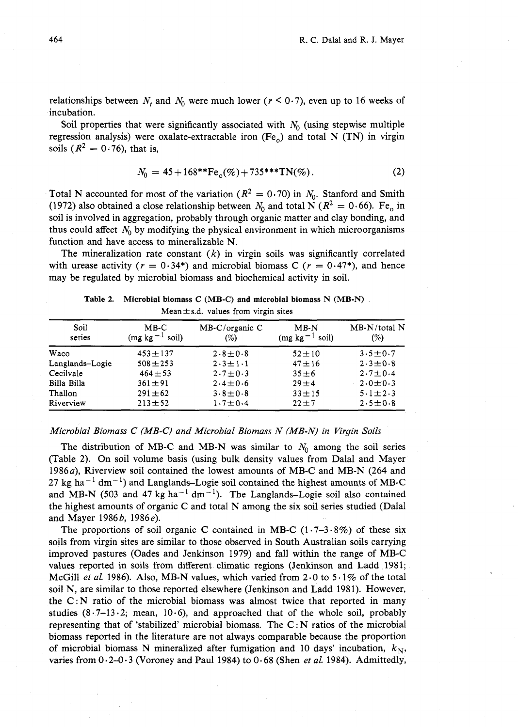relationships between  $N_t$  and  $N_0$  were much lower ( $r \le 0.7$ ), even up to 16 weeks of incubation.

Soil properties that were significantly associated with  $N_0$  (using stepwise multiple regression analysis) were oxalate-extractable iron  $(Fe<sub>o</sub>)$  and total N (TN) in virgin soils ( $R^2 = 0.76$ ), that is,

$$
N_0 = 45 + 168**\text{Fe}_0(\%) + 735**\text{TN}(\%) \tag{2}
$$

Total N accounted for most of the variation ( $R^2 = 0.70$ ) in  $N_0$ . Stanford and Smith (1972) also obtained a close relationship between  $N_0$  and total N ( $R^2 = 0.66$ ). Fe<sub>o</sub> in soil is involved in aggregation, probably through organic matter and clay bonding, and thus could affect  $N_0$  by modifying the physical environment in which microorganisms function and have access to mineralizable N.

The mineralization rate constant  $(k)$  in virgin soils was significantly correlated with urease activity ( $r = 0.34^*$ ) and microbial biomass C ( $r = 0.47^*$ ), and hence may be regulated by microbial biomass and biochemical activity in soil.

| Mean $\pm$ s.d. values from virgin sites |                                |                              |                                   |                       |  |  |  |  |
|------------------------------------------|--------------------------------|------------------------------|-----------------------------------|-----------------------|--|--|--|--|
| Soil<br>series                           | $MB-C$<br>$(mg \nkg)$<br>soil) | $MB-C/organic C$<br>$( \% )$ | $MB-N$<br>soil)<br>- 1<br>(mg kg) | $MB-N/total$ N<br>(%) |  |  |  |  |
| Waco                                     | $453 \pm 137$                  | $2.8 \pm 0.8$                | $52 \pm 10$                       | $3.5 \pm 0.7$         |  |  |  |  |
| Langlands-Logie                          | $508 + 253$                    | $2 \cdot 3 \pm 1 \cdot 1$    | $47 + 16$                         | $2.3 \pm 0.8$         |  |  |  |  |
| Cecilvale                                | $464 + 53$                     | $2.7 \pm 0.3$                | $35 + 6$                          | $2.7 \pm 0.4$         |  |  |  |  |
| Billa Billa                              | $361 \pm 91$                   | $2.4 \pm 0.6$                | $29 \pm 4$                        | $2.0 \pm 0.3$         |  |  |  |  |
| Thallon                                  | $291 \pm 62$                   | $3.8 \pm 0.8$                | $33 + 15$                         | $5.1 \pm 2.3$         |  |  |  |  |
| Riverview                                | $213 + 52$                     | $1.7 \pm 0.4$                | $22 + 7$                          | $2.5 \pm 0.8$         |  |  |  |  |

Table 2. Microbial biomass C (MB-C) **and** microbial biomass N (MB-N)

# Microbial Biomass C (MB-C) and Microbial Biomass N (MB-N) in Virgin Soils

The distribution of MB-C and MB-N was similar to  $N_0$  among the soil series (Table **2).** On soil volume basis (using bulk density values from Dalal and Mayer 1986a), Riverview soil contained the lowest amounts of MB-C and MB-N (264 and  $27 \text{ kg ha}^{-1} \text{ dm}^{-1}$ ) and Langlands-Logie soil contained the highest amounts of MB-C and MB-N (503 and 47 kg ha<sup>-1</sup> dm<sup>-1</sup>). The Langlands-Logie soil also contained the highest amounts of organic C and total N among the six soil series studied (Dalal and Mayer 1986*b*, 1986*e*).

The proportions of soil organic C contained in MB-C  $(1.7-3.8\%)$  of these six soils from virgin sites are similar to those observed in South Australian soils carrying improved pastures (Oades and Jenkinson 1979) and fall within the range of MB-C values reported in soils from different climatic regions (Jenkinson and Ladd 1981; McGill *et al.* 1986). Also, MB-N values, which varied from  $2.0$  to  $5.1\%$  of the total soil N, are similar to those reported elsewhere (Jenkinson and Ladd 1981). However, the  $C : N$  ratio of the microbial biomass was almost twice that reported in many studies  $(8.7-13.2;$  mean, 10.6), and approached that of the whole soil, probably representing that of 'stabilized' microbial biomass. The  $C: N$  ratios of the microbial biomass reported in the literature are not always comparable because the proportion of microbial biomass N mineralized after fumigation and 10 days' incubation,  $k_N$ , varies from  $0.2-0.3$  (Voroney and Paul 1984) to  $0.68$  (Shen et al. 1984). Admittedly,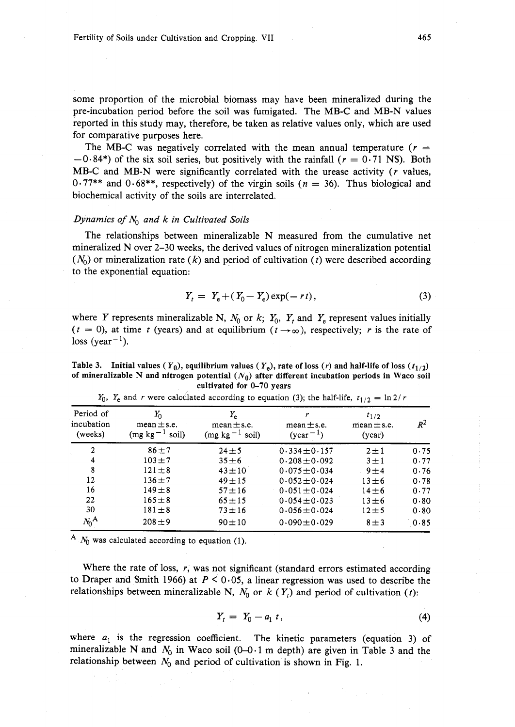some proportion of the microbial biomass may have been mineralized during the pre-incubation period before the soil was fumigated. The MB-C and MB-N values reported in this study may, therefore, be taken as relative values only, which are used for comparative purposes here.

The MB-C was negatively correlated with the mean annual temperature ( $r =$  $-0.84$ <sup>\*</sup>) of the six soil series, but positively with the rainfall ( $r = 0.71$  NS). Both MB-C and MB-N were significantly correlated with the urease activity  $(r$  values,  $0.77**$  and  $0.68**$ , respectively) of the virgin soils ( $n = 36$ ). Thus biological and biochemical activity of the soils are interrelated.

## Dynamics of  $N_0$  and k in Cultivated Soils

The relationships between mineralizable N measured from the cumulative net mineralized N over 2-30 weeks, the derived values of nitrogen mineralization potential  $(N_0)$  or mineralization rate (k) and period of cultivation (t) were described according to the exponential equation:

$$
Y_t = Y_e + (Y_0 - Y_e) \exp(-rt), \tag{3}
$$

where Y represents mineralizable N,  $N_0$  or k;  $Y_0$ ,  $Y_t$  and  $Y_e$  represent values initially  $(t = 0)$ , at time t (years) and at equilibrium  $(t \rightarrow \infty)$ , respectively; r is the rate of loss (year<sup> $-1$ </sup>).

**Table 3.** Initial values  $(Y_0)$ , equilibrium values  $(Y_e)$ , rate of loss  $(r)$  and half-life of loss  $(t_{1/2})$ of mineralizable N and nitrogen potential  $(N_0)$  after different incubation periods in Waco soil **cultivated for 0-70 years** 

| Period of<br>incubation<br>(weeks) | $Y_0$<br>$mean \pm s.e.$<br>$-1$<br>(mg kg<br>soil) | $Y_e$<br>$mean \pm s.e.$<br>$(mg kg-1 soil)$ | r<br>$mean \pm s.e.$<br>$(year^{-1})$ | $t_{1/2}$<br>$mean \pms.e.$<br>(year) | $R^2$ |
|------------------------------------|-----------------------------------------------------|----------------------------------------------|---------------------------------------|---------------------------------------|-------|
| $\overline{2}$                     | $86 + 7$                                            | $24 + 5$                                     | $0.334 \pm 0.157$                     | $2 \pm 1$                             | 0.75  |
| 4                                  | $103 + 7$                                           | $35 + 6$                                     | $0.208 \pm 0.092$                     | $3 \pm 1$                             | 0.77  |
| 8                                  | $121 \pm 8$                                         | $43 + 10$                                    | $0.075 \pm 0.034$                     | $9 \pm 4$                             | 0.76  |
| 12                                 | $136 \pm 7$                                         | $49 + 15$                                    | $0.052 \pm 0.024$                     | $13 \pm 6$                            | 0.78  |
| 16                                 | $149 \pm 8$                                         | $57 + 16$                                    | $0.051 \pm 0.024$                     | $14 \pm 6$                            | 0.77  |
| 22                                 | $165 \pm 8$                                         | $65 + 15$                                    | $0.054 \pm 0.023$                     | $13 \pm 6$                            | 0.80  |
| 30                                 | $181 \pm 8$                                         | $73 + 16$                                    | $0.056 \pm 0.024$                     | $12 + 5$                              | 0.80  |
| $N_0^{\rm A}$                      | $208 + 9$                                           | $90 \pm 10$                                  | $0.090 \pm 0.029$                     | $8 \pm 3$                             | 0.85  |

$$
Y_0
$$
,  $Y_e$  and r were calculated according to equation (3); the half-life,  $t_{1/2} = \ln 2/r$ 

 $A$   $N_0$  was calculated according to equation (1).

Where the rate of loss,  $r$ , was not significant (standard errors estimated according to Draper and Smith 1966) at  $P \le 0.05$ , a linear regression was used to describe the relationships between mineralizable N,  $N_0$  or k (Y<sub>r</sub>) and period of cultivation (t):

$$
Y_t = Y_0 - a_1 t, \tag{4}
$$

where  $a_1$  is the regression coefficient. The kinetic parameters (equation 3) of mineralizable N and  $N_0$  in Waco soil (0-0.1 m depth) are given in Table 3 and the relationship between  $N_0$  and period of cultivation is shown in Fig. 1.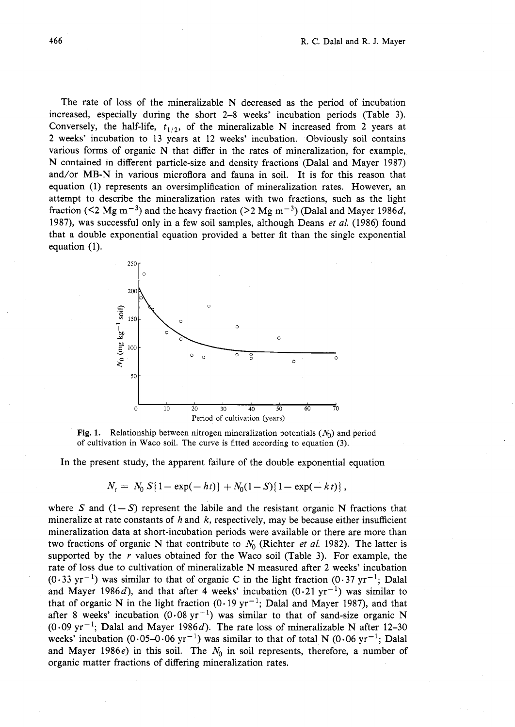The rate of loss of the mineralizable N decreased as the period of incubation increased, especially during the short 2-8 weeks' incubation periods (Table 3). Conversely, the half-life,  $t_{1/2}$ , of the mineralizable N increased from 2 years at **2** weeks' incubation to 13 years at 12 weeks' incubation. Obviously soil contains various forms of organic N that differ in the rates of mineralization, for example, N contained in different particle-size and density fractions (Dalal and Mayer 1987) and/or MB-N in various microflora and fauna in soil. It is for this reason that equation (1) represents an oversimplification of mineralization rates. However, an attempt to describe the mineralization rates with two fractions, such as the light fraction ( $\leq 2$  Mg m<sup>-3</sup>) and the heavy fraction ( $>$ 2 Mg m<sup>-3</sup>) (Dalal and Mayer 1986d, 1987), was successful only in a few soil samples, although Deans et *al.* (1986) found that a double exponential equation provided a better fit than the single exponential equation (1).



**Fig. 1.** Relationship between nitrogen mineralization potentials  $(N_0)$  and period of cultivation in Waco soil. The curve is fitted according to equation **(3).** 

In the present study, the apparent failure of the double exponential equation

$$
N_t = N_0 S\{1 - \exp(-ht)\} + N_0(1 - S)\{1 - \exp(-kt)\},
$$

where S and  $(1-S)$  represent the labile and the resistant organic N fractions that mineralize at rate constants of h and k, respectively, may be because either insufficient mineralization data at short-incubation periods were available or there are more than two fractions of organic N that contribute to  $N_0$  (Richter *et al.* 1982). The latter is supported by the  $r$  values obtained for the Waco soil (Table 3). For example, the rate of loss due to cultivation of mineralizable N measured after 2 weeks' incubation  $(0.33 \text{ yr}^{-1})$  was similar to that of organic C in the light fraction  $(0.37 \text{ yr}^{-1})$ ; Dalal and Mayer 1986d), and that after 4 weeks' incubation  $(0.21 \text{ yr}^{-1})$  was similar to that of organic N in the light fraction  $(0.19 \text{ yr}^{-1})$ ; Dalal and Mayer 1987), and that after 8 weeks' incubation  $(0.08 \text{ yr}^{-1})$  was similar to that of sand-size organic N  $(0.09 \text{ yr}^{-1}$ ; Dalal and Mayer 1986d). The rate loss of mineralizable N after 12-30 weeks' incubation (0.05-0.06 yr<sup>-1</sup>) was similar to that of total N (0.06 yr<sup>-1</sup>; Dalal and Mayer 1986 $e$ ) in this soil. The  $N_0$  in soil represents, therefore, a number of organic matter fractions of differing mineralization rates.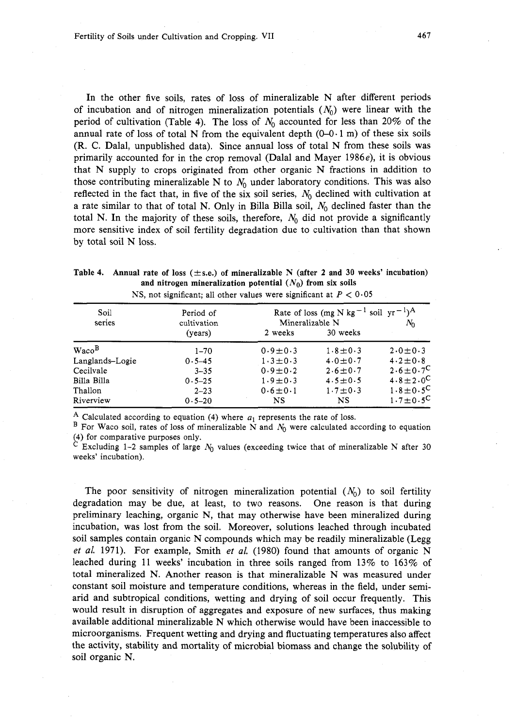In the other five soils, rates of loss of mineralizable N after different periods of incubation and of nitrogen mineralization potentials  $(N_0)$  were linear with the period of cultivation (Table 4). The loss of  $N_0$  accounted for less than 20% of the annual rate of loss of total N from the equivalent depth  $(0-0.1 \text{ m})$  of these six soils (R. **C.** Dalal, unpublished data). Since annual loss of total N from these soils was primarily accounted for in the crop removal (Dalal and Mayer 1986e), it is obvious that N supply to crops originated from other organic N fractions in addition to those contributing mineralizable N to  $N_0$  under laboratory conditions. This was also reflected in the fact that, in five of the six soil series,  $N_0$  declined with cultivation at a rate similar to that of total N. Only in Billa Billa soil,  $N_0$  declined faster than the total N. In the majority of these soils, therefore,  $N_0$  did not provide a significantly more sensitive index of soil fertility degradation due to cultivation than that shown by total soil N loss.

| Table 4. Annual rate of loss ( $\pm$ s.e.) of mineralizable N (after 2 and 30 weeks' incubation) |
|--------------------------------------------------------------------------------------------------|
| and nitrogen mineralization potential $(N_0)$ from six soils                                     |
| NS, not significant; all other values were significant at $P < 0.05$                             |

| Soil<br>series    | Period of<br>cultivation | Mineralizable N           | Rate of loss (mg N kg <sup>-1</sup> soil yr <sup>-1</sup> ) <sup>A</sup><br>$N_0$ |                       |
|-------------------|--------------------------|---------------------------|-----------------------------------------------------------------------------------|-----------------------|
|                   | (years)                  | 2 weeks                   | 30 weeks                                                                          |                       |
| Waco <sup>B</sup> | $1 - 70$                 | $0.9 \pm 0.3$             | $1.8 \pm 0.3$                                                                     | $2.0 \pm 0.3$         |
| Langlands-Logie   | $0.5 - 45$               | $1 \cdot 3 \pm 0 \cdot 3$ | $4.0 \pm 0.7$                                                                     | $4.2 \pm 0.8$         |
| Cecilvale         | $3 - 35$                 | $0.9 \pm 0.2$             | $2.6 \pm 0.7$                                                                     | $2.6 \pm 0.7^{\circ}$ |
| Billa Billa       | $0.5 - 25$               | $1.9 \pm 0.3$             | $4.5 \pm 0.5$                                                                     | $4.8 \pm 2.0^{\circ}$ |
| Thallon           | $2 - 23$                 | $0.6 \pm 0.1$             | $1.7 \pm 0.3$                                                                     | $1.8 \pm 0.5^{\circ}$ |
| Riverview         | $0.5 - 20$               | NS                        | <b>NS</b>                                                                         | $1.7 \pm 0.5^{\circ}$ |

 $A$  Calculated according to equation (4) where  $a_1$  represents the rate of loss.

 $B$  For Waco soil, rates of loss of mineralizable  $N$  and  $N_0$  were calculated according to equation (4) for comparative purposes only.

Excluding 1-2 samples of large  $N_0$  values (exceeding twice that of mineralizable N after 30 weeks' incubation).

The poor sensitivity of nitrogen mineralization potential  $(N_0)$  to soil fertility degradation may be due, at least, to two reasons. One reason is that during preliminary leaching, organic N, that may otherwise have been mineralized during incubation, was lost from the soil. Moreover, solutions leached through incubated soil samples contain organic N compounds which may be readily mineralizable (Legg et *al.* 1971). For example, Smith et *al.* (1980) found that amounts of organic N leached during 11 weeks' incubation in three soils ranged from 13% to 163% of total mineralized N. Another reason is that mineralizable N was measured under constant soil moisture and temperature conditions, whereas in the field, under semiarid and subtropical conditions, wetting and drying of soil occur frequently. This would result in disruption of aggregates and exposure of new surfaces, thus making available additional mineralizable N which otherwise would have been inaccessible to microorganisms. Frequent wetting and drying and fluctuating temperatures also affect the activity, stability and mortality of microbial biomass and change the solubility of soil organic N.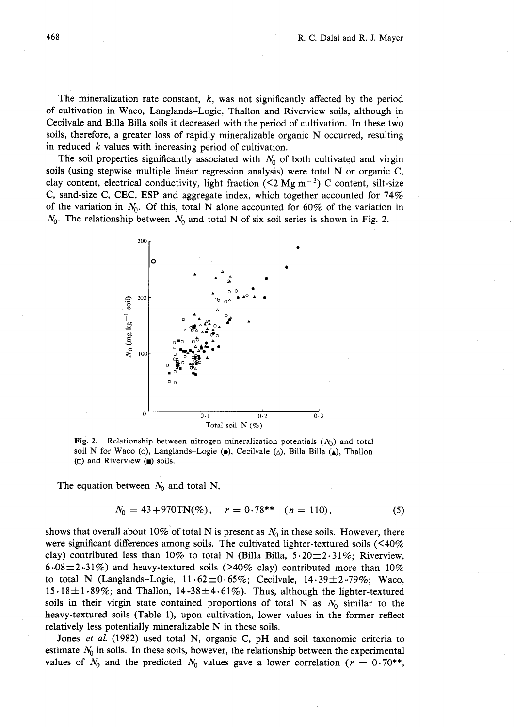The mineralization rate constant,  $k$ , was not significantly affected by the period of cultivation in Waco, Langlands-Logie, Thallon and Riverview soils, although in Cecilvale and Billa Billa soils it decreased with the period of cultivation. In these two soils, therefore, a greater loss of rapidly mineralizable organic N occurred, resulting in reduced  $k$  values with increasing period of cultivation.

The soil properties significantly associated with  $N_0$  of both cultivated and virgin soils (using stepwise multiple linear regression analysis) were total N or organic C, clay content, electrical conductivity, light fraction (<2 Mg m<sup>-3</sup>) C content, silt-size C, sand-size C, CEC, ESP and aggregate index, which together accounted for 74% of the variation in  $N_0$ . Of this, total N alone accounted for 60% of the variation in *No.* The relationship between *No* and total *N* of six soil series is shown in Fig. 2.



**Fig. 2.** Relationship between nitrogen mineralization potentials *(No)* and total soil N for Waco (o), Langlands-Logie ( $\bullet$ ), Cecilvale ( $\triangle$ ), Billa Billa ( $\bullet$ ), Thallon (0) and Riverview *(8)* soils.

The equation between  $N_0$  and total N,

$$
N_0 = 43 + 970 \text{TN}(\%), \quad r = 0.78^{**} \quad (n = 110), \tag{5}
$$

shows that overall about 10% of total N is present as  $N_0$  in these soils. However, there were significant differences among soils. The cultivated lighter-textured soils  $($ clay) contributed less than 10% to total N (Billa Billa,  $5.20 \pm 2.31$ %; Riverview, 6.08 $\pm$ 2.31%) and heavy-textured soils (>40% clay) contributed more than 10% to total N (Langlands–Logie,  $11.62 \pm 0.65\%$ ; Cecilvale,  $14.39 \pm 2.79\%$ ; Waco, 15  $\cdot$  18  $\pm$  1  $\cdot$  89%; and Thallon, 14  $\cdot$  38  $\pm$  4 $\cdot$  61%). Thus, although the lighter-textured soils in their virgin state contained proportions of total N as  $N_0$  similar to the heavy-textured soils (Table I), upon cultivation, lower values in the former reflect relatively less potentially mineralizable N in these soils.

Jones *et al.* (1982) used total N, organic C, pH and soil taxonomic criteria to estimate  $N_0$  in soils. In these soils, however, the relationship between the experimental values of  $N_0$  and the predicted  $N_0$  values gave a lower correlation ( $r = 0.70$ <sup>\*\*</sup>,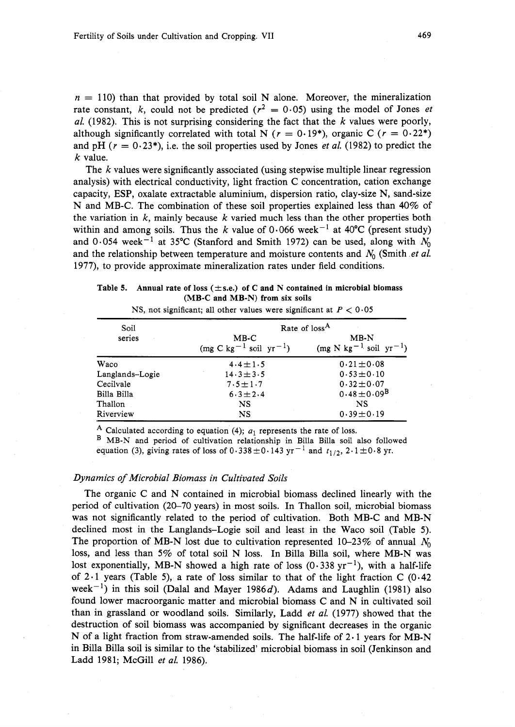$n = 110$ ) than that provided by total soil N alone. Moreover, the mineralization rate constant, k, could not be predicted ( $r^2 = 0.05$ ) using the model of Jones *et* al. (1982). This is not surprising considering the fact that the  $k$  values were poorly, although significantly correlated with total N ( $r = 0.19$ \*), organic C ( $r = 0.22$ \*) and pH ( $r = 0.23$ <sup>\*</sup>), i.e. the soil properties used by Jones *et al.* (1982) to predict the  $k$  value.

The  $k$  values were significantly associated (using stepwise multiple linear regression analysis) with electrical conductivity, light fraction C concentration, cation exchange capacity, ESP, oxalate extractable aluminium, dispersion ratio, clay-size N, sand-size N and MB-C. The combination of these soil properties explained less than 40% of the variation in  $k$ , mainly because  $k$  varied much less than the other properties both within and among soils. Thus the k value of 0.066 week<sup>-1</sup> at 40°C (present study) and 0.054 week<sup>-1</sup> at 35°C (Stanford and Smith 1972) can be used, along with  $N_0$ and the relationship between temperature and moisture contents and  $N_0$  (Smith *et al.* 1977), to provide approximate mineralization rates under field conditions.

| Table 5. Annual rate of loss $(\pm s.e.)$ of C and N contained in microbial biomass |
|-------------------------------------------------------------------------------------|
| $(MB-C and MB-N)$ from six soils                                                    |

| Soil            | Rate of loss <sup>A</sup>              |                                                         |  |  |  |  |
|-----------------|----------------------------------------|---------------------------------------------------------|--|--|--|--|
| series          | $MB-C$<br>$(mg C kg^{-1} sol yr^{-1})$ | $MB-N$<br>$(mg \text{ N kg}^{-1} \text{ soil yr}^{-1})$ |  |  |  |  |
| Waco            | $4.4 \pm 1.5$                          | $0.21 \pm 0.08$                                         |  |  |  |  |
| Langlands-Logie | $14.3 \pm 3.5$                         | $0.53 \pm 0.10$                                         |  |  |  |  |
| Cecilvale       | $7.5 \pm 1.7$                          | $0.32 \pm 0.07$                                         |  |  |  |  |
| Billa Billa     | $6.3 \pm 2.4$                          | $0.48 \pm 0.09^{\rm B}$                                 |  |  |  |  |
| Thallon         | <b>NS</b>                              | NS                                                      |  |  |  |  |
| Riverview       | NS                                     | $0.39 \pm 0.19$                                         |  |  |  |  |

NS, not significant; all other values were significant at  $P < 0.05$ 

A Calculated according to equation (4);  $a_1$  represents the rate of loss.

<sup>B</sup> MB-N and period of cultivation relationship in Billa Billa soil also followed equation (3), giving rates of loss of 0.338  $\pm$  0.143 yr<sup>-1</sup> and  $t_{1/2}$ , 2.1 $\pm$ 0.8 yr.

## Dynamics of Microbial Biomass in Cultivated Soils

The organic C and N contained in microbial biomass declined linearly with the period of cultivation (20-70 years) in most soils. In Thallon soil, microbial biomass was not significantly related to the period of cultivation. Both MB-C and MB-N declined most in the Langlands-Logie soil and least in the Waco soil (Table 5). The proportion of MB-N lost due to cultivation represented  $10-23\%$  of annual  $N_0$ loss, and less than 5% of total soil N loss. In Billa Billa soil, where MB-N was lost exponentially, MB-N showed a high rate of loss  $(0.338 \text{ yr}^{-1})$ , with a half-life of 2.1 years (Table 5), a rate of loss similar to that of the light fraction C (0.42 week<sup>-1</sup>) in this soil (Dalal and Mayer 1986d). Adams and Laughlin (1981) also found lower macroorganic matter and microbial biomass C and N in cultivated soil than in grassland or woodland soils. Similarly, Ladd et al. (1977) showed that the destruction of soil biomass was accompanied by significant decreases in the organic N of a light fraction from straw-amended soils. The half-life of  $2 \cdot 1$  years for MB-N in Billa Billa soil is similar to the 'stabilized' microbial biomass in soil (Jenkinson and Ladd 1981; McGill et al. 1986).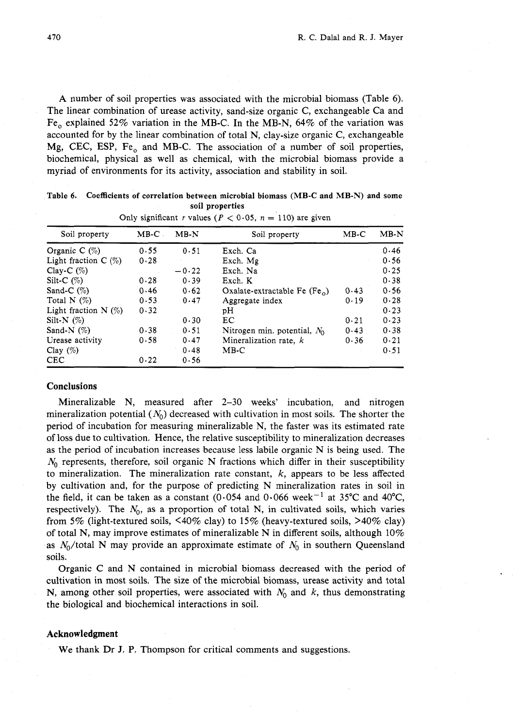**A** number of soil properties was associated with the microbial biomass (Table 6). The linear combination of urease activity, sand-size organic C, exchangeable Ca and Fe<sub>o</sub> explained 52% variation in the MB-C. In the MB-N, 64% of the variation was accounted for by the linear combination of total N, clay-size organic C, exchangeable Mg, CEC, ESP, Fe, and MB-C. The association of a number of soil properties, biochemical, physical as well as chemical, with the microbial biomass provide a myriad of environments for its activity, association and stability in soil.

| Table 6. Coefficients of correlation between microbial biomass (MB-C and MB-N) and some |
|-----------------------------------------------------------------------------------------|
| soil properties                                                                         |

| Soil property          | $MB-C$ | $MB-N$  | Soil property                   | $MB-C$ | $MB-N$ |
|------------------------|--------|---------|---------------------------------|--------|--------|
| Organic C $(\%)$       | 0.55   | 0.51    | Exch. Ca                        |        | 0.46   |
| Light fraction $C(\%)$ | 0.28   |         | Exch. Mg                        |        | 0.56   |
| Clay-C $(\%)$          |        | $-0.22$ | Exch. Na                        |        | 0.25   |
| Silt-C $(\%)$          | 0.28   | 0.39    | Exch. K                         |        | 0.38   |
| Sand-C $(%)$           | 0.46   | 0.62    | Oxalate-extractable Fe $(Fe_0)$ | 0.43   | 0.56   |
| Total N $(\%)$         | 0.53   | 0.47    | Aggregate index                 | 0.19   | 0.28   |
| Light fraction $N$ (%) | 0.32   |         | рH                              |        | 0.23   |
| Silt-N $(\%)$          |        | 0.30    | EС                              | 0.21   | 0.23   |
| Sand-N $(%)$           | 0.38   | 0.51    | Nitrogen min. potential, $N_0$  | 0.43   | 0.38   |
| Urease activity        | 0.58   | 0.47    | Mineralization rate, k          | 0.36   | 0.21   |
| Clay $(\%)$            |        | 0.48    | MB-C                            |        | 0.51   |
| <b>CEC</b>             | 0.22   | 0.56    |                                 |        |        |

| Only significant r values ( $P < 0.05$ , $n = 110$ ) are given |  |  |  |  |
|----------------------------------------------------------------|--|--|--|--|

### **Conclusions**

Mineralizable N, measured after 2-30 weeks' incubation, and nitrogen mineralization potential  $(N_0)$  decreased with cultivation in most soils. The shorter the period of incubation for measuring mineralizable N, the faster was its estimated rate of loss due to cultivation, Hence, the relative susceptibility to mineralization decreases as the period of incubation increases because less labile organic N is being used. The  $N_0$  represents, therefore, soil organic N fractions which differ in their susceptibility to mineralization. The mineralization rate constant,  $k$ , appears to be less affected by cultivation and, for the purpose of predicting N mineralization rates in soil in the field, it can be taken as a constant (0.054 and 0.066 week<sup>-1</sup> at 35°C and 40°C, respectively). The  $N_0$ , as a proportion of total N, in cultivated soils, which varies from 5% (light-textured soils,  $\leq 40\%$  clay) to 15% (heavy-textured soils,  $\geq 40\%$  clay) of total N, may improve estimates of mineralizable N in different soils, although  $10\%$ as  $N_0$ /total N may provide an approximate estimate of  $N_0$  in southern Queensland soils.

Organic C and N contained in microbial biomass decreased with the period of cultivation in most soils. The size of the microbial biomass, urease activity and total N, among other soil properties, were associated with  $N_0$  and k, thus demonstrating the biological and biochemical interactions in soil.

#### **Acknowledgment**

We thank Dr J. P. Thompson for critical comments and suggestions.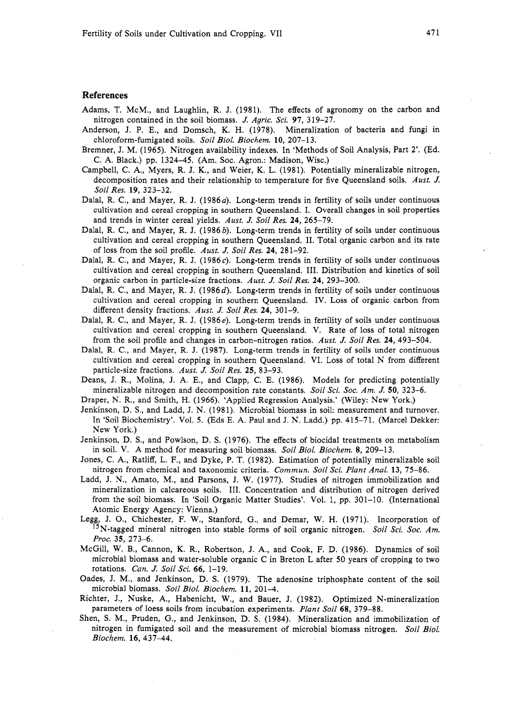Fertility of Soils under Cultivation and Cropping. VII

### **References**

- Adams, T. McM., and Laughlin, R. J. (1981). The effects of agronomy on the carbon and nitrogen contained in the soil biomass. **J.** *Agric. Sci.* **97,** 319-27.
- Anderson, J. P. E., and Domsch, K. H. (1978). Mineralization of bacteria and fungi in chloroform-fumigated soils. *Soil Biol. Biochem.* **10,** 207-13.
- Bremner, J. M. (1965). Nitrogen availability indexes. In 'Methods of Soil Analysis, Part 2'. (Ed. C. A. Black.) pp. 1324-45. (Am. Soc. Agron.: Madison, Wisc.)
- Campbell, C. A., Myers, R. J. K., and Weier, K. L. (1981). Potentially mineralizable nitrogen, decomposition rates and their relationship to temperature for five Queensland soils. *Aust.* **J.**  *Soil Res.* **19,** 323-32.
- Dalal, R. C., and Mayer, R. J. (1986*a*). Long-term trends in fertility of soils under continuous cultivation and cereal cropping in southern Queensland. I. Overall changes in soil properties and trends in winter cereal yields. *Aust.* J. *Soil Res.* **24,** 265-79.
- Dalal, R. C., and Mayer, R. J. (1986 b). Long-term trends in fertility of soils under continuous cultivation and cereal cropping in southern Queensland. 11. Total organic carbon and its rate of loss from the soil profile. *Aust.* **J.** *Soil Res.* **24,** 281-92.
- Dalal, R. C., and Mayer, R. J. (1986c). Long-term trends in fertility of soils under continuous cultivation and cereal cropping in southern Queensland. 111. Distribution and kinetics of soil organic carbon in particle-size fractions. *Aust.* **J.** *Soil Res.* **24,** 293-300.
- Dalal, R. C., and Mayer, R. J. (1986d). Long-term trends in fertility of soils under continuous cultivation and cereal cropping in southern Queensland. IV. Loss of organic carbon from different density fractions. *Aust.* J. *Soil Res.* **24,** 301-9.
- Dalal, R. C., and Mayer, R. J. (1986e). Long-term trends in fertility of soils under continuous cultivation and cereal cropping in southern Queensland. V. Rate of loss of total nitrogen from the soil profile and changes in carbon-nitrogen ratios. *Aust.* **J.** *Soil Res.* **24,** 493-504.
- Dalal, R. C., and Mayer, R. J. (1987). Long-term trends in fertility of soils under continuous cultivation and cereal cropping in southern Queensland. VI. Loss of total N from different particle-size fractions. *Aust.* **J.** *Soil Res.* **25,** 83-93.
- Deans, J. R., Molina, J. A. E., and Clapp, C. E. (1986). Models for predicting potentially mineralizable nitrogen and decomposition rate constants. *Soil Sci. Soc. Am.* **J. 50,** 323-6.

Draper, **N.** R., and Smith, H. (1966). 'Applied Regression Analysis.' (Wiley: New York.)

- Jenkinson, D. S., and Ladd, J. N. (1981). Microbial biomass in soil: measurement and turnover. In 'Soil Biochemistry'. Vol. 5. (Eds E. A. Paul and J. N. Ladd.) pp. 415-71. (Marcel Dekker: New York.)
- Jenkinson, D. S., and Powlson, D. S. (1976). The effects of biocidal treatments on metabolism in soil. V. A method for measuring soil biomass. *Soil Biol. Biochem.* **8,** 209-13.
- Jones, C. A., Ratliff, L. F., and Dyke, P. T. (1982). Estimation of potentially mineralizable soil nitrogen from chemical and taxonomic criteria. *Commun. Soil Sci. Plant Anal.* **13,** 75-86.
- Ladd, J. N., Amato, M., and Parsons, J. W. (1977). Studies of nitrogen immobilization and mineralization in calcareous soils. 111. Concentration and distribution of nitrogen derived from the soil biomass. In 'Soil Organic Matter Studies'. Vol. 1, pp. 301-10. (International Atomic Energy Agency: Vienna.)
- Legg, J. O., Chichester, F. W., Stanford, G., and Demar, W. H. (1971). Incorporation of <sup>15</sup>N-tagged mineral nitrogen into stable forms of soil organic nitrogen. *Soil Sci. Soc. Am. Proc.* **35,** 273-6.
- McGill, W. B., Cannon, K. R., Robertson, J. A,, and Cook, F. D. (1986). Dynamics of soil microbial biomass and water-soluble organic C in Breton L after 50 years of cropping to two rotations. *Can.* **J.** *Soil Sci.* **66,** 1-19.
- Oades, J. M., and Jenkinson, D. S. (1979). The adenosine triphosphate content of the soil microbial biomass. *Soil Biol. Biochem.* **11,** 201-4.
- Richter, J., Nuske, A., Habenicht, W., and Bauer, J. (1982). Optimized N-mineralization parameters of loess soils from incubation experiments. *Plant Soil* **68,** 379-88.
- Shen, S. M., Pruden, G., and Jenkinson, D. S. (1984). Mineralization and immobilization of nitrogen in fumigated soil and the measurement of microbial biomass nitrogen. *Soil Biol. Biochem.* **16,** 437-44.